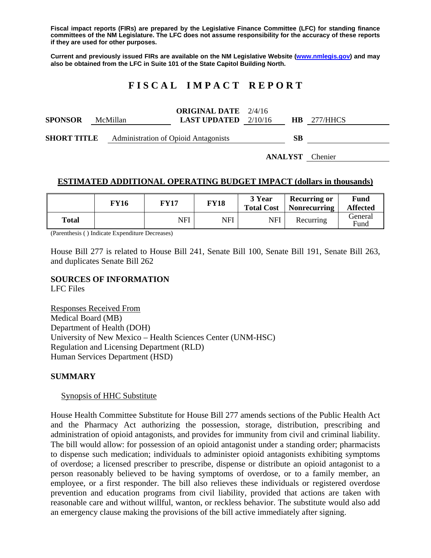**Fiscal impact reports (FIRs) are prepared by the Legislative Finance Committee (LFC) for standing finance committees of the NM Legislature. The LFC does not assume responsibility for the accuracy of these reports if they are used for other purposes.** 

**Current and previously issued FIRs are available on the NM Legislative Website (www.nmlegis.gov) and may also be obtained from the LFC in Suite 101 of the State Capitol Building North.** 

# **F I S C A L I M P A C T R E P O R T**

|                    |          | <b>ORIGINAL DATE</b> 2/4/16                 |    |                    |
|--------------------|----------|---------------------------------------------|----|--------------------|
| <b>SPONSOR</b>     | McMillan | <b>LAST UPDATED</b> $2/10/16$               |    | <b>HB</b> 277/HHCS |
| <b>SHORT TITLE</b> |          | <b>Administration of Opioid Antagonists</b> | SВ |                    |

**ANALYST** Chenier

# **ESTIMATED ADDITIONAL OPERATING BUDGET IMPACT (dollars in thousands)**

|       | FY16 | FY17 | <b>FY18</b> | 3 Year<br><b>Total Cost</b> | <b>Recurring or</b><br><b>Nonrecurring</b> | Fund<br><b>Affected</b> |
|-------|------|------|-------------|-----------------------------|--------------------------------------------|-------------------------|
| Total |      | NFI  | NFI         | NFI                         | Recurring                                  | General<br>Fund         |

(Parenthesis ( ) Indicate Expenditure Decreases)

House Bill 277 is related to House Bill 241, Senate Bill 100, Senate Bill 191, Senate Bill 263, and duplicates Senate Bill 262

### **SOURCES OF INFORMATION**

LFC Files

Responses Received From Medical Board (MB) Department of Health (DOH) University of New Mexico – Health Sciences Center (UNM-HSC) Regulation and Licensing Department (RLD) Human Services Department (HSD)

#### **SUMMARY**

#### Synopsis of HHC Substitute

House Health Committee Substitute for House Bill 277 amends sections of the Public Health Act and the Pharmacy Act authorizing the possession, storage, distribution, prescribing and administration of opioid antagonists, and provides for immunity from civil and criminal liability. The bill would allow: for possession of an opioid antagonist under a standing order; pharmacists to dispense such medication; individuals to administer opioid antagonists exhibiting symptoms of overdose; a licensed prescriber to prescribe, dispense or distribute an opioid antagonist to a person reasonably believed to be having symptoms of overdose, or to a family member, an employee, or a first responder. The bill also relieves these individuals or registered overdose prevention and education programs from civil liability, provided that actions are taken with reasonable care and without willful, wanton, or reckless behavior. The substitute would also add an emergency clause making the provisions of the bill active immediately after signing.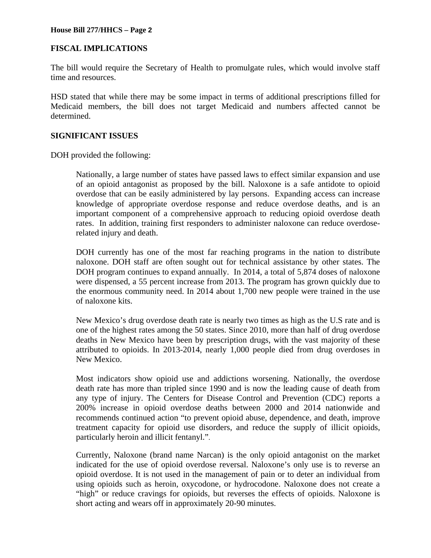### **House Bill 277/HHCS – Page 2**

# **FISCAL IMPLICATIONS**

The bill would require the Secretary of Health to promulgate rules, which would involve staff time and resources.

HSD stated that while there may be some impact in terms of additional prescriptions filled for Medicaid members, the bill does not target Medicaid and numbers affected cannot be determined.

## **SIGNIFICANT ISSUES**

DOH provided the following:

Nationally, a large number of states have passed laws to effect similar expansion and use of an opioid antagonist as proposed by the bill. Naloxone is a safe antidote to opioid overdose that can be easily administered by lay persons. Expanding access can increase knowledge of appropriate overdose response and reduce overdose deaths, and is an important component of a comprehensive approach to reducing opioid overdose death rates. In addition, training first responders to administer naloxone can reduce overdoserelated injury and death.

DOH currently has one of the most far reaching programs in the nation to distribute naloxone. DOH staff are often sought out for technical assistance by other states. The DOH program continues to expand annually. In 2014, a total of 5,874 doses of naloxone were dispensed, a 55 percent increase from 2013. The program has grown quickly due to the enormous community need. In 2014 about 1,700 new people were trained in the use of naloxone kits.

New Mexico's drug overdose death rate is nearly two times as high as the U.S rate and is one of the highest rates among the 50 states. Since 2010, more than half of drug overdose deaths in New Mexico have been by prescription drugs, with the vast majority of these attributed to opioids. In 2013-2014, nearly 1,000 people died from drug overdoses in New Mexico.

Most indicators show opioid use and addictions worsening. Nationally, the overdose death rate has more than tripled since 1990 and is now the leading cause of death from any type of injury. The Centers for Disease Control and Prevention (CDC) reports a 200% increase in opioid overdose deaths between 2000 and 2014 nationwide and recommends continued action "to prevent opioid abuse, dependence, and death, improve treatment capacity for opioid use disorders, and reduce the supply of illicit opioids, particularly heroin and illicit fentanyl.".

Currently, Naloxone (brand name Narcan) is the only opioid antagonist on the market indicated for the use of opioid overdose reversal. Naloxone's only use is to reverse an opioid overdose. It is not used in the management of pain or to deter an individual from using opioids such as heroin, oxycodone, or hydrocodone. Naloxone does not create a "high" or reduce cravings for opioids, but reverses the effects of opioids. Naloxone is short acting and wears off in approximately 20-90 minutes.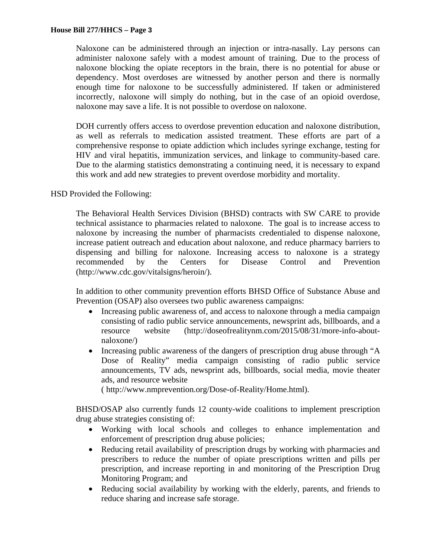Naloxone can be administered through an injection or intra-nasally. Lay persons can administer naloxone safely with a modest amount of training. Due to the process of naloxone blocking the opiate receptors in the brain, there is no potential for abuse or dependency. Most overdoses are witnessed by another person and there is normally enough time for naloxone to be successfully administered. If taken or administered incorrectly, naloxone will simply do nothing, but in the case of an opioid overdose, naloxone may save a life. It is not possible to overdose on naloxone.

DOH currently offers access to overdose prevention education and naloxone distribution, as well as referrals to medication assisted treatment. These efforts are part of a comprehensive response to opiate addiction which includes syringe exchange, testing for HIV and viral hepatitis, immunization services, and linkage to community-based care. Due to the alarming statistics demonstrating a continuing need, it is necessary to expand this work and add new strategies to prevent overdose morbidity and mortality.

HSD Provided the Following:

The Behavioral Health Services Division (BHSD) contracts with SW CARE to provide technical assistance to pharmacies related to naloxone. The goal is to increase access to naloxone by increasing the number of pharmacists credentialed to dispense naloxone, increase patient outreach and education about naloxone, and reduce pharmacy barriers to dispensing and billing for naloxone. Increasing access to naloxone is a strategy recommended by the Centers for Disease Control and Prevention (http://www.cdc.gov/vitalsigns/heroin/).

In addition to other community prevention efforts BHSD Office of Substance Abuse and Prevention (OSAP) also oversees two public awareness campaigns:

- Increasing public awareness of, and access to naloxone through a media campaign consisting of radio public service announcements, newsprint ads, billboards, and a resource website (http://doseofrealitynm.com/2015/08/31/more-info-aboutnaloxone/)
- Increasing public awareness of the dangers of prescription drug abuse through "A Dose of Reality" media campaign consisting of radio public service announcements, TV ads, newsprint ads, billboards, social media, movie theater ads, and resource website

( http://www.nmprevention.org/Dose-of-Reality/Home.html).

BHSD/OSAP also currently funds 12 county-wide coalitions to implement prescription drug abuse strategies consisting of:

- Working with local schools and colleges to enhance implementation and enforcement of prescription drug abuse policies;
- Reducing retail availability of prescription drugs by working with pharmacies and prescribers to reduce the number of opiate prescriptions written and pills per prescription, and increase reporting in and monitoring of the Prescription Drug Monitoring Program; and
- Reducing social availability by working with the elderly, parents, and friends to reduce sharing and increase safe storage.